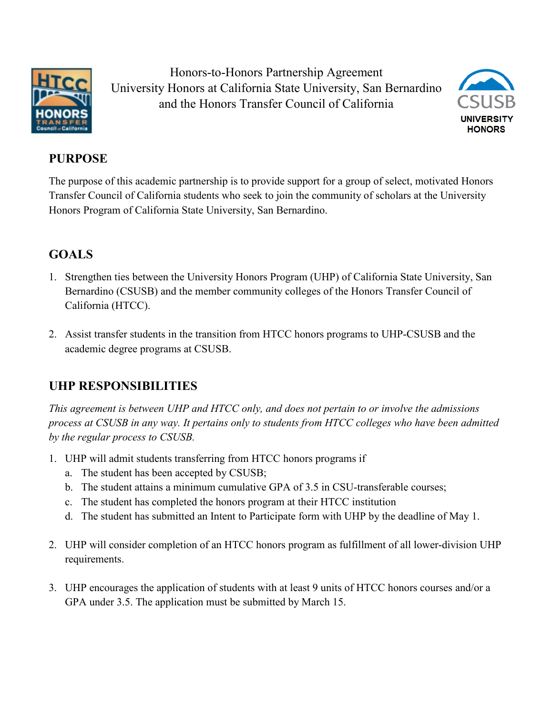

Honors-to-Honors Partnership Agreement University Honors at California State University, San Bernardino and the Honors Transfer Council of California



# **PURPOSE**

The purpose of this academic partnership is to provide support for a group of select, motivated Honors Transfer Council of California students who seek to join the community of scholars at the University Honors Program of California State University, San Bernardino.

# **GOALS**

- 1. Strengthen ties between the University Honors Program (UHP) of California State University, San Bernardino (CSUSB) and the member community colleges of the Honors Transfer Council of California (HTCC).
- 2. Assist transfer students in the transition from HTCC honors programs to UHP-CSUSB and the academic degree programs at CSUSB.

### **UHP RESPONSIBILITIES**

*This agreement is between UHP and HTCC only, and does not pertain to or involve the admissions process at CSUSB in any way. It pertains only to students from HTCC colleges who have been admitted by the regular process to CSUSB.*

- 1. UHP will admit students transferring from HTCC honors programs if
	- a. The student has been accepted by CSUSB;
	- b. The student attains a minimum cumulative GPA of 3.5 in CSU-transferable courses;
	- c. The student has completed the honors program at their HTCC institution
	- d. The student has submitted an Intent to Participate form with UHP by the deadline of May 1.
- 2. UHP will consider completion of an HTCC honors program as fulfillment of all lower-division UHP requirements.
- 3. UHP encourages the application of students with at least 9 units of HTCC honors courses and/or a GPA under 3.5. The application must be submitted by March 15.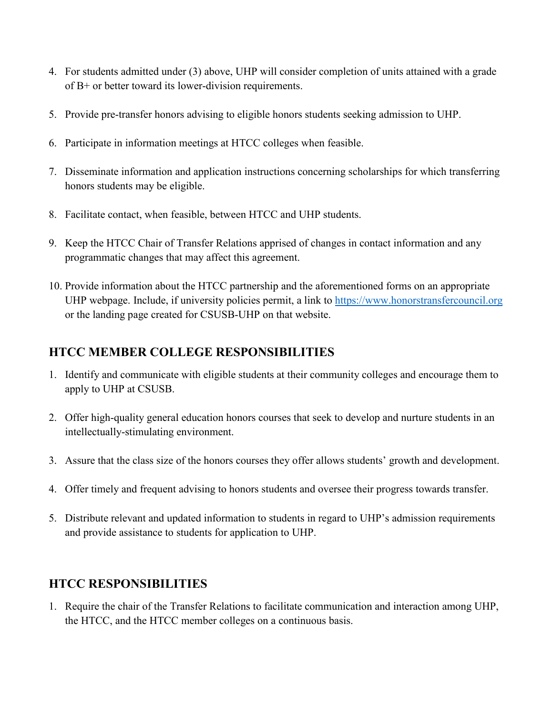- 4. For students admitted under (3) above, UHP will consider completion of units attained with a grade of B+ or better toward its lower-division requirements.
- 5. Provide pre-transfer honors advising to eligible honors students seeking admission to UHP.
- 6. Participate in information meetings at HTCC colleges when feasible.
- 7. Disseminate information and application instructions concerning scholarships for which transferring honors students may be eligible.
- 8. Facilitate contact, when feasible, between HTCC and UHP students.
- 9. Keep the HTCC Chair of Transfer Relations apprised of changes in contact information and any programmatic changes that may affect this agreement.
- 10. Provide information about the HTCC partnership and the aforementioned forms on an appropriate UHP webpage. Include, if university policies permit, a link to [https://www.honorstransfercouncil.org](https://www.honorstransfercouncil.org/) or the landing page created for CSUSB-UHP on that website.

### **HTCC MEMBER COLLEGE RESPONSIBILITIES**

- 1. Identify and communicate with eligible students at their community colleges and encourage them to apply to UHP at CSUSB.
- 2. Offer high-quality general education honors courses that seek to develop and nurture students in an intellectually-stimulating environment.
- 3. Assure that the class size of the honors courses they offer allows students' growth and development.
- 4. Offer timely and frequent advising to honors students and oversee their progress towards transfer.
- 5. Distribute relevant and updated information to students in regard to UHP's admission requirements and provide assistance to students for application to UHP.

### **HTCC RESPONSIBILITIES**

1. Require the chair of the Transfer Relations to facilitate communication and interaction among UHP, the HTCC, and the HTCC member colleges on a continuous basis.